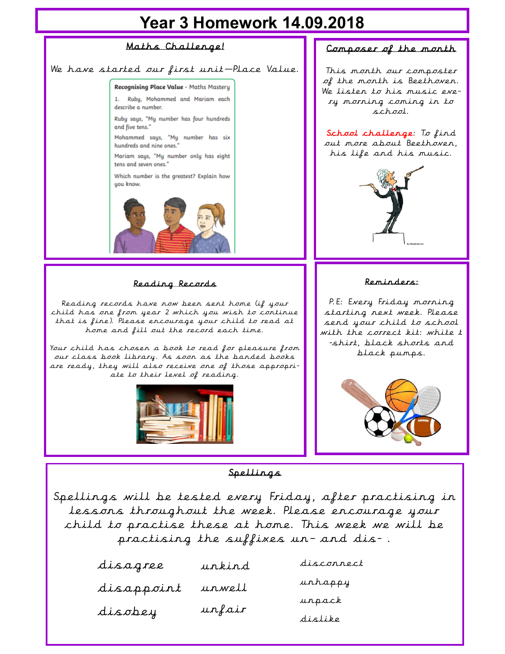## **Year 3 Homework 14.09.2018**



Spellings

Spellings will be tested every Friday, after practising in lessons throughout the week. Please encourage your child to practise these at home. This week we will be practising the suffixes un– and dis- .

| disagree   | urkird | disconnect |
|------------|--------|------------|
| disappoint | urwell | urhappy    |
| disobey    | unfair | urpack     |
|            |        | distike    |